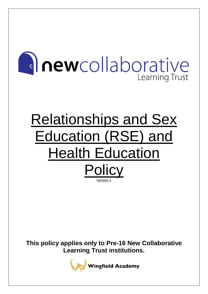# **Anewcollaborative Learning Trust**

# Relationships and Sex Education (RSE) and Health Education **Policy** Version 1

**This policy applies only to Pre-16 New Collaborative Learning Trust institutions.**

**Vingfield Academy**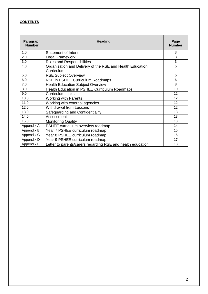#### **CONTENTS**

| Paragraph<br><b>Number</b> | <b>Heading</b>                                                          | Page<br><b>Number</b> |
|----------------------------|-------------------------------------------------------------------------|-----------------------|
| 1.0                        | <b>Statement of Intent</b>                                              | 3                     |
| 2.0                        | Legal Framework                                                         | 3                     |
| 3.0                        | Roles and Responsibilities                                              | 3                     |
| 4.0                        | Organisation and Delivery of the RSE and Health Education<br>Curriculum | 5                     |
| 5.0                        | <b>RSE Subject Overview</b>                                             | 5                     |
| 6.0                        | RSE in PSHEE Curriculum Roadmaps                                        | 6                     |
| 7.0                        | <b>Health Education Subject Overview</b>                                | 8                     |
| 8.0                        | Health Education in PSHEE Curriculum Roadmaps                           | 10                    |
| 9.0                        | <b>Curriculum Links</b>                                                 | 12                    |
| 10.0                       | <b>Working with Parents</b>                                             | 12                    |
| 11.0                       | Working with external agencies                                          | 12                    |
| 12.0                       | <b>Withdrawal from Lessons</b>                                          | 12                    |
| 13.0                       | Safeguarding and Confidentiality                                        | 13                    |
| 14.0                       | Assessment                                                              | 13                    |
| 15.0                       | <b>Monitoring Quality</b>                                               | 13                    |
| Appendix A                 | PSHEE curriculum overview roadmap                                       | 14                    |
| Appendix B                 | Year 7 PSHEE curriculum roadmap                                         | 15                    |
| Appendix C                 | Year 8 PSHEE curriculum roadmap                                         | 16                    |
| Appendix D                 | Year 9 PSHEE curriculum roadmap                                         | 17                    |
| Appendix E                 | Letter to parents/carers regarding RSE and health education             | 18                    |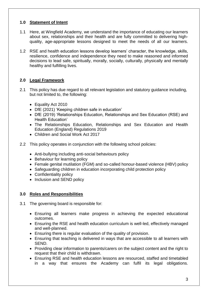### **1.0 Statement of Intent**

- 1.1 Here, at Wingfield Academy, we understand the importance of educating our learners about sex, relationships and their health and are fully committed to delivering highquality, age-appropriate lessons designed to meet the needs of all our learners.
- 1.2 RSE and health education lessons develop learners' character, the knowledge, skills, resilience, confidence and independence they need to make reasoned and informed decisions to lead safe, spiritually, morally, socially, culturally, physically and mentally healthy and fulfilling lives.

### **2.0 Legal Framework**

- 2.1 This policy has due regard to all relevant legislation and statutory guidance including, but not limited to, the following:
	- Equality Act 2010
	- DfE (2021) 'Keeping children safe in education'
	- DfE (2019) 'Relationships Education, Relationships and Sex Education (RSE) and Health Education'
	- The Relationships Education, Relationships and Sex Education and Health Education (England) Regulations 2019
	- Children and Social Work Act 2017
- 2.2 This policy operates in conjunction with the following school policies:
	- Anti-bullying including anti-social behaviours policy
	- Behaviour for learning policy
	- Female genital mutilation (FGM) and so-called honour-based violence (HBV) policy
	- Safeguarding children in education incorporating child protection policy
	- Confidentiality policy
	- Inclusion and SEND policy

# **3.0 Roles and Responsibilities**

- 3.1 The governing board is responsible for:
	- Ensuring all learners make progress in achieving the expected educational outcomes.
	- Ensuring the RSE and health education curriculum is well-led, effectively managed and well-planned.
	- Ensuring there is regular evaluation of the quality of provision.
	- Ensuring that teaching is delivered in ways that are accessible to all learners with SEND.
	- Providing clear information to parents/carers on the subject content and the right to request that their child is withdrawn.
	- Ensuring RSE and health education lessons are resourced, staffed and timetabled in a way that ensures the Academy can fulfil its legal obligations.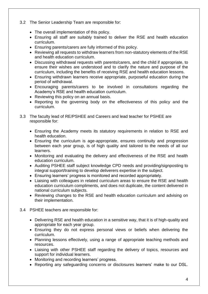- 3.2 The Senior Leadership Team are responsible for:
	- The overall implementation of this policy.
	- Ensuring all staff are suitably trained to deliver the RSE and health education curriculum.
	- Ensuring parents/carers are fully informed of this policy.
	- Reviewing all requests to withdraw learners from non-statutory elements of the RSE and health education curriculum.
	- Discussing withdrawal requests with parents/carers, and the child if appropriate, to ensure their wishes are understood and to clarify the nature and purpose of the curriculum, including the benefits of receiving RSE and health education lessons.
	- Ensuring withdrawn learners receive appropriate, purposeful education during the period of withdrawal.
	- Encouraging parents/carers to be involved in consultations regarding the Academy's RSE and health education curriculum.
	- Reviewing this policy on an annual basis.
	- Reporting to the governing body on the effectiveness of this policy and the curriculum.
- 3.3 The faculty lead of RE/PSHEE and Careers and lead teacher for PSHEE are responsible for:
	- Ensuring the Academy meets its statutory requirements in relation to RSE and health education.
	- Ensuring the curriculum is age-appropriate, ensures continuity and progression between each year group, is of high quality and tailored to the needs of all our learners.
	- Monitoring and evaluating the delivery and effectiveness of the RSE and health education curriculum.
	- Auditing PSHEE staff subject knowledge CPD needs and providing/signposting to integral support/training to develop deliverers expertise in the subject.
	- Ensuring learners' progress is monitored and recorded appropriately.
	- Liaising with colleagues in related curriculum areas to ensure the RSE and health education curriculum compliments, and does not duplicate, the content delivered in national curriculum subjects.
	- Reviewing changes to the RSE and health education curriculum and advising on their implementation.
- 3.4 PSHEE teachers are responsible for:
	- Delivering RSE and health education in a sensitive way, that it is of high-quality and appropriate for each year group.
	- Ensuring they do not express personal views or beliefs when delivering the curriculum.
	- Planning lessons effectively, using a range of appropriate teaching methods and resources.
	- Liaising with other PSHEE staff regarding the delivery of topics, resources and support for individual learners.
	- Monitoring and recording learners' progress.
	- Reporting any safeguarding concerns or disclosures learners' make to our DSL.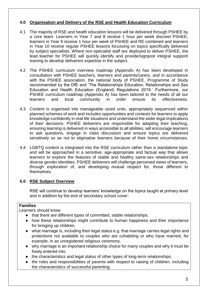# **4.0 Organisation and Delivery of the RSE and Health Education Curriculum**

- 4.1 The majority of RSE and health education lessons will be delivered through PSHEE by a core team. Learners in Year 7 and 8 receive 1 hour per week discreet PSHEE, learners in Year 9 receive 1 hour per week of PSHEE and RE combined and learners in Year 10 receive regular PSHEE lessons focussing on topics specifically delivered by subject specialists. Where non-specialist staff are deployed to deliver PSHEE, the lead teacher for PSHEE will quickly identify and provide/signpost integral support/ training to develop deliverers expertise in the subject.
- 4.2 The PSHEE curriculum overview roadmap (Appendix A) has been developed in consultation with PSHEE teachers, learners and parents/carers, and in accordance with the PSHEE association, the national body of PSHEE, Programme of Study recommended by the DfE and 'The Relationships Education, Relationships and Sex Education and Health Education (England) Regulations 2019.' Furthermore, our PSHEE curriculum roadmap (Appendix A) has been tailored to the needs of all our learners and local community in order ensure its effectiveness.
- 4.3 Content is organised into manageable sized units, appropriately sequenced within planned schemes of work and includes opportunities and contexts for learners to apply knowledge confidently in real-life situations and understand the wider legal implications of their decisions. PSHEE deliverers are responsible for adapting their teaching, ensuring learning is delivered in ways accessible to all abilities, will encourage learners to ask questions, engage in class discussion and ensure topics are delivered sensitively so as not to stigmatise learners because of their home circumstances.
- 4.4 LGBTQ content is integrated into the RSE curriculum rather than a standalone topic and will be approached in a sensitive, age-appropriate and factual way that allows learners to explore the features of stable and healthy same-sex relationships and diverse gender identities. PSHEE deliverers will challenge perceived views of learners, through exploration of, and developing mutual respect for, those different to themselves.

### **5.0 RSE Subject Overview**

RSE will continue to develop learners' knowledge on the topics taught at primary level and in addition by the end of secondary school cover:

# **Families**

Learners should know:

- that there are different types of committed, stable relationships.
- how these relationships might contribute to human happiness and their importance for bringing up children.
- what marriage is, including their legal status e.g. that marriage carries legal rights and protections not available to couples who are cohabiting or who have married, for example, in an unregistered religious ceremony.
- why marriage is an important relationship choice for many couples and why it must be freely entered into.
- the characteristics and legal status of other types of long-term relationships.
- the roles and responsibilities of parents with respect to raising of children, including the characteristics of successful parenting.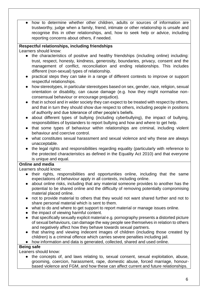how to determine whether other children, adults or sources of information are trustworthy, judge when a family, friend, intimate or other relationship is unsafe and recognise this in other relationships, and, how to seek help or advice, including reporting concerns about others, if needed.

#### **Respectful relationships, including friendships**

Learners should know:

- the characteristics of positive and healthy friendships (including online) including: trust, respect, honesty, kindness, generosity, boundaries, privacy, consent and the management of conflict, reconciliation and ending relationships. This includes different (non-sexual) types of relationship.
- practical steps they can take in a range of different contexts to improve or support respectful relationships.
- how stereotypes, in particular stereotypes based on sex, gender, race, religion, sexual orientation or disability, can cause damage (e.g. how they might normalise nonconsensual behaviour or encourage prejudice).
- that in school and in wider society they can expect to be treated with respect by others, and that in turn they should show due respect to others, including people in positions of authority and due tolerance of other people's beliefs.
- about different types of bullying (including cyberbullying), the impact of bullying, responsibilities of bystanders to report bullying and how and where to get help.
- that some types of behaviour within relationships are criminal, including violent behaviour and coercive control.
- what constitutes sexual harassment and sexual violence and why these are always unacceptable.
- the legal rights and responsibilities regarding equality (particularly with reference to the protected characteristics as defined in the Equality Act 2010) and that everyone is unique and equal.

### **Online and media**

Learners should know:

- their rights, responsibilities and opportunities online, including that the same expectations of behaviour apply in all contexts, including online.
- about online risks, including that any material someone provides to another has the potential to be shared online and the difficulty of removing potentially compromising material placed online.
- not to provide material to others that they would not want shared further and not to share personal material which is sent to them.
- what to do and where to get support to report material or manage issues online.
- the impact of viewing harmful content.
- that specifically sexually explicit material e.g. pornography presents a distorted picture of sexual behaviours, can damage the way people see themselves in relation to others and negatively affect how they behave towards sexual partners.
- that sharing and viewing indecent images of children (including those created by children) is a criminal offence which carries severe penalties including jail.
- how information and data is generated, collected, shared and used online.

### **Being safe**

Leaners should know:

● the concepts of, and laws relating to, sexual consent, sexual exploitation, abuse, grooming, coercion, harassment, rape, domestic abuse, forced marriage, honourbased violence and FGM, and how these can affect current and future relationships.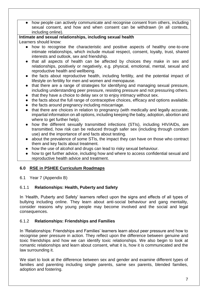how people can actively communicate and recognise consent from others, including sexual consent, and how and when consent can be withdrawn (in all contexts, including online).

# **Intimate and sexual relationships, including sexual health**

Learners should know:

- how to recognise the characteristic and positive aspects of healthy one-to-one intimate relationships, which include mutual respect, consent, loyalty, trust, shared interests and outlook, sex and friendship.
- that all aspects of health can be affected by choices they make in sex and relationships, positively or negatively, e.g. physical, emotional, mental, sexual and reproductive health and wellbeing.
- the facts about reproductive health, including fertility, and the potential impact of lifestyle on fertility for men and women and menopause.
- that there are a range of strategies for identifying and managing sexual pressure, including understanding peer pressure, resisting pressure and not pressuring others.
- that they have a choice to delay sex or to enjoy intimacy without sex.
- the facts about the full range of contraceptive choices, efficacy and options available.
- the facts around pregnancy including miscarriage.
- that there are choices in relation to pregnancy (with medically and legally accurate, impartial information on all options, including keeping the baby, adoption, abortion and where to get further help).
- how the different sexually transmitted infections (STIs), including HIV/AIDs, are transmitted, how risk can be reduced through safer sex (including through condom use) and the importance of and facts about testing.
- about the prevalence of some STIs, the impact they can have on those who contract them and key facts about treatment.
- how the use of alcohol and drugs can lead to risky sexual behaviour.
- how to get further advice, including how and where to access confidential sexual and reproductive health advice and treatment.

# **6.0 RSE in PSHEE Curriculum Roadmaps**

6.1 Year 7 (Appendix B)

# 6.1.1 **Relationships: Health, Puberty and Safety**

In 'Health, Puberty and Safety' learners reflect upon the signs and effects of all types of bullying including online. They learn about anti-social behaviour and gang mentality, consider reasons why young people may become involved and the social and legal consequences.

### 6.1.2 **Relationships: Friendships and Families**

In 'Relationships: Friendships and Families' learners learn about peer pressure and how to recognise peer pressure in action. They reflect upon the difference between genuine and toxic friendships and how we can identify toxic relationships. We also begin to look at romantic relationships and learn about consent, what it is, how it is communicated and the law surrounding it.

We start to look at the difference between sex and gender and examine different types of families and parenting including single parents, same sex parents, blended families, adoption and fostering.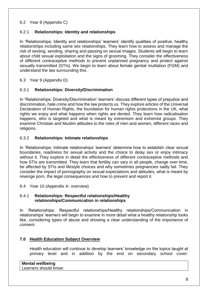# 6.2 Year 8 (Appendix C)

# 6.2.1 **Relationships: Identity and relationships**

In 'Relationships: Identity and relationships' learners' identify qualities of positive, healthy relationships including same sex relationships. They learn how to assess and manage the risk of sexting, sending, sharing and passing on sexual images. Students will begin to learn about child sexual exploitation and the signs of grooming. They consider the effectiveness of different contraceptive methods to prevent unplanned pregnancy and protect against sexually transmitted (STIs). We begin to learn about female genital mutilation (FGM) and understand the law surrounding this.

6.3 Year 9 (Appendix D)

### 6.3.1 **Relationships: Diversity/Discrimination**

In 'Relationships: Diversity/Discrimination' learners' discuss different types of prejudice and discrimination, hate crime and how the law protects us. They explore articles of the Universal Declaration of Human Rights, the foundation for human rights protections in the UK, what rights we enjoy and what happens when rights are denied. They learn how radicalisation happens, who is targeted and what is meant by extremism and extremist groups. They examine Christian and Muslim attitudes to the roles of men and women, different races and religions.

### 6.3.2 **Relationships: Intimate relationships**

In 'Relationships: Intimate relationships' learners' determine how to establish clear sexual boundaries, readiness for sexual activity and the choice to delay sex or enjoy intimacy without it. They explore in detail the effectiveness of different contraceptive methods and how STIs are transmitted. They learn that fertility can vary in all people, change over time, be affected by STIs and lifestyle choices and why sometimes pregnancies sadly fail. They consider the impact of pornography on sexual expectations and attitudes, what is meant by revenge porn, the legal consequences and how to prevent and report it.

6.4 Year 10 (Appendix A- overview)

#### 6.4.1 **Relationships: Respectful relationships/Healthy relationships/Communication in relationships**

In 'Relationships: Respectful relationships/Healthy relationships/Communication in relationships' learners will begin to examine in more detail what a healthy relationship looks like, considering types of abuse and showing a clear understanding of the importance of consent.

### **7.0 Health Education Subject Overview**

Health education will continue to develop learners' knowledge on the topics taught at primary level and in addition by the end on secondary school cover:

**Mental wellbeing** Learners should know: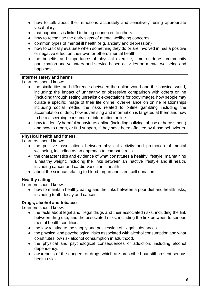- how to talk about their emotions accurately and sensitively, using appropriate vocabulary.
- that happiness is linked to being connected to others.
- how to recognise the early signs of mental wellbeing concerns.
- common types of mental ill health (e.g. anxiety and depression)
- how to critically evaluate when something they do or are involved in has a positive or negative effect on their own or others' mental health.
- the benefits and importance of physical exercise, time outdoors, community participation and voluntary and service-based activities on mental wellbeing and happiness.

### **Internet safety and harms**

Learners should know:

- the similarities and differences between the online world and the physical world, including: the impact of unhealthy or obsessive comparison with others online (including through setting unrealistic expectations for body image), how people may curate a specific image of their life online, over-reliance on online relationships including social media, the risks related to online gambling including the accumulation of debt, how advertising and information is targeted at them and how to be a discerning consumer of information online.
- how to identify harmful behaviours online (including bullying, abuse or harassment) and how to report, or find support, if they have been affected by those behaviours.

# **Physical health and fitness**

Learners should know:

- the positive associations between physical activity and promotion of mental wellbeing, including as an approach to combat stress.
- the characteristics and evidence of what constitutes a healthy lifestyle, maintaining a healthy weight, including the links between an inactive lifestyle and ill health, including cancer and cardio-vascular ill-health.
- about the science relating to blood, organ and stem cell donation.

### **Healthy eating**

Learners should know:

● how to maintain healthy eating and the links between a poor diet and health risks, including tooth decay and cancer.

# **Drugs, alcohol and tobacco**

Learners should know:

- the facts about legal and illegal drugs and their associated risks, including the link between drug use, and the associated risks, including the link between to serious mental health conditions.
- the law relating to the supply and possession of illegal substances.
- the physical and psychological risks associated with alcohol consumption and what constitutes low risk alcohol consumption in adulthood.
- the physical and psychological consequences of addiction, including alcohol dependency.
- awareness of the dangers of drugs which are prescribed but still present serious health risks.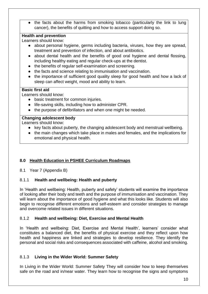the facts about the harms from smoking tobacco (particularly the link to lung cancer), the benefits of quitting and how to access support doing so.

#### **Health and prevention**

Learners should know:

- about personal hygiene, germs including bacteria, viruses, how they are spread, treatment and prevention of infection, and about antibiotics.
- about dental health and the benefits of good oral hygiene and dental flossing, including healthy eating and regular check-ups at the dentist.
- the benefits of regular self-examination and screening.
- the facts and science relating to immunisation and vaccination.
- the importance of sufficient good quality sleep for good health and how a lack of sleep can affect weight, mood and ability to learn.

# **Basic first aid**

Learners should know:

- basic treatment for common injuries.
- life-saving skills, including how to administer CPR.
- the purpose of defibrillators and when one might be needed.

### **Changing adolescent body**

Learners should know:

- key facts about puberty, the changing adolescent body and menstrual wellbeing.
- the main changes which take place in males and females, and the implications for emotional and physical health.

# **8.0 Health Education in PSHEE Curriculum Roadmaps**

8.1 Year 7 (Appendix B)

### 8.1.1 **Health and wellbeing: Health and puberty**

In 'Health and wellbeing: Health, puberty and safety' students will examine the importance of looking after their body and teeth and the purpose of immunisation and vaccination. They will learn about the importance of good hygiene and what this looks like. Students will also begin to recognise different emotions and self-esteem and consider strategies to manage and overcome related issues in different situations.

# 8.1.2 **Health and wellbeing: Diet, Exercise and Mental Health**

In 'Health and wellbeing: Diet, Exercise and Mental Health', learners' consider what constitutes a balanced diet, the benefits of physical exercise and they reflect upon how health and happiness are linked and strategies to develop resilience. They identify the personal and social risks and consequences associated with caffeine, alcohol and smoking.

### 8.1.3 **Living in the Wider World: Summer Safety**

In Living in the Wider World: Summer Safety They will consider how to keep themselves safe on the road and in/near water. They learn how to recognise the signs and symptoms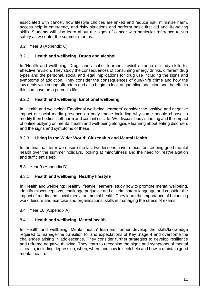associated with cancer, how lifestyle choices are linked and reduce risk, minimise harm, access help in emergency and risky situations and perform basic first aid and life-saving skills. Students will also learn about the signs of cancer with particular reference to sun safety as we enter the summer months.

# 8.2 Year 8 (Appendix C)

# 8.2.1 **Health and wellbeing: Drugs and alcohol**

In 'Health and wellbeing: Drugs and alcohol' learners' revisit a range of study skills for effective revision. They study the consequences of consuming energy drinks, different drug types and the personal, social and legal implications for drug use including the signs and symptoms of addiction. They consider the consequences of gun/knife crime and how the law deals with young offenders and also begin to look at gambling addiction and the effects this can have on a person's life.

# 8.2.2 **Health and wellbeing: Emotional wellbeing**

In 'Health and wellbeing: Emotional wellbeing' learners' consider the positive and negative impact of social media presence on body image including why some people choose to modify their bodies, self-harm and commit suicide. We discuss body shaming and the impact of online bullying on mental health and well-being alongside learning about eating disorders and the signs and symptoms of these.

# 8.2.3 **Living in the Wider World: Citizenship and Mental Health**

In the final half term we ensure the last two lessons have a focus on keeping good mental health over the summer holidays, looking at mindfulness and the need for rest/relaxation and sufficient sleep.

8.3 Year 9 (Appendix D)

# 8.3.1 **Health and wellbeing: Healthy lifestyle**

In 'Health and wellbeing: Healthy lifestyle' learners' study how to promote mental wellbeing, identify misconceptions, challenge prejudice and discriminatory language and consider the impact of media and social media on mental health. They learn the importance of balancing work, leisure and exercise and organisational skills in managing the stress of exams.

8.4 Year 10 (Appendix A)

# 8.4.1 **Health and wellbeing: Mental health**

In 'Health and wellbeing: Mental health' learners' further develop the skills/knowledge required to manage the transition to, and expectations of Key Stage 4 and overcome the challenges arising in adolescence. They consider further strategies to develop resilience and reframe negative thinking. They learn to recognise the signs and symptoms of mental ill health, including depression, when, where and how to seek help and how to maintain good mental health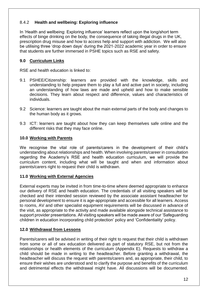# 8.4.2 **Health and wellbeing: Exploring influence**

In 'Health and wellbeing: Exploring influence' learners reflect upon the long/short term effects of binge drinking on the body, the consequence of taking illegal drugs in the UK, prescription drug misuse and how to access help and support with addiction. We will also be utilising three 'drop down days' during the 2021-2022 academic year in order to ensure that students are further immersed in PSHE topics such as RSE and safety.

# **9.0 Curriculum Links**

RSE and health education is linked to:

- 9.1 PSHEE/Citizenship: learners are provided with the knowledge, skills and understanding to help prepare them to play a full and active part in society, including an understanding of how laws are made and upheld and how to make sensible decisions. They learn about respect and difference, values and characteristics of individuals.
- 9.2 Science: learners are taught about the main external parts of the body and changes to the human body as it grows.
- 9.3 ICT: learners are taught about how they can keep themselves safe online and the different risks that they may face online.

#### **10.0 Working with Parents**

We recognise the vital role of parents/carers in the development of their child's understanding about relationships and health. When involving parents/career in consultation regarding the Academy's RSE and health education curriculum, we will provide the curriculum content, including what will be taught and when and information about parents/carers right to request their child is withdrawn.

### **11.0 Working with External Agencies**

External experts may be invited in from time-to-time where deemed appropriate to enhance our delivery of RSE and health education. The credentials of all visiting speakers will be checked and their intended session reviewed by the associate assistant headteacher for personal development to ensure it is age-appropriate and accessible for all learners. Access to rooms, AV and other specialist equipment requirements will be discussed in advance of the visit, as appropriate to the activity and made available alongside technical assistance to support provider presentations. All visiting speakers will be made aware of our 'Safeguarding children in education incorporating child protection' policy and 'Confidentiality' policy.

### **12.0 Withdrawal from Lessons**

Parents/carers will be advised in writing of their right to request that their child is withdrawn from some or all of sex education delivered as part of statutory RSE, but not from the relationships or health elements of the curriculum (Appendix E). Requests to withdraw a child should be made in writing to the headteacher. Before granting a withdrawal, the headteacher will discuss the request with parents/carers and, as appropriate, their child, to ensure their wishes are understood and to clarify the purpose and benefits of the curriculum and detrimental effects the withdrawal might have. All discussions will be documented.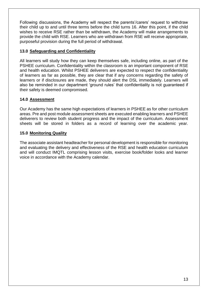Following discussions, the Academy will respect the parents'/carers' request to withdraw their child up to and until three terms before the child turns 16. After this point, if the child wishes to receive RSE rather than be withdrawn, the Academy will make arrangements to provide the child with RSE. Learners who are withdrawn from RSE will receive appropriate, purposeful provision during the full period of withdrawal.

# **13.0 Safeguarding and Confidentiality**

All learners will study how they can keep themselves safe, including online, as part of the PSHEE curriculum. Confidentiality within the classroom is an important component of RSE and health education. Whilst PSHEE deliverers are expected to respect the confidentiality of learners as far as possible, they are clear that if any concerns regarding the safety of learners or if disclosures are made, they should alert the DSL immediately. Learners will also be reminded in our department 'ground rules' that confidentiality is not guaranteed if their safety is deemed compromised.

# **14.0 Assessment**

Our Academy has the same high expectations of learners in PSHEE as for other curriculum areas. Pre and post module assessment sheets are executed enabling learners and PSHEE deliverers to review both student progress and the impact of the curriculum. Assessment sheets will be stored in folders as a record of learning over the academic year.

### **15.0 Monitoring Quality**

The associate assistant headteacher for personal development is responsible for monitoring and evaluating the delivery and effectiveness of the RSE and health education curriculum and will conduct IMQTL comprising lesson visits, exercise book/folder looks and learner voice in accordance with the Academy calendar.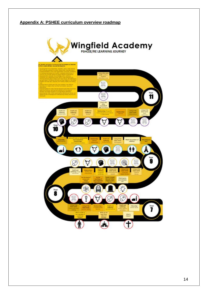# **Appendix A: PSHEE curriculum overview roadmap**



14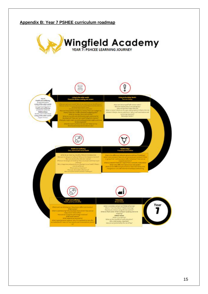

Whatis

What

those dis you retrieve using retrieve practice!<br>What are flash conto! What is not poor quissing and mind which contain when the state of the contact of the state of the state of the state of the state of the state of the state of the state of the state of the state of the state of the state of the state of the state of the s

Year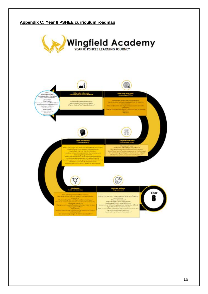# **Appendix C: Year 8 PSHEE curriculum roadmap**



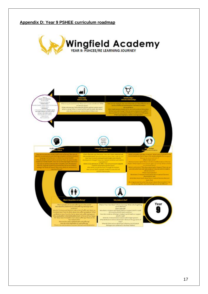# **Appendix D: Year 9 PSHEE curriculum roadmap**



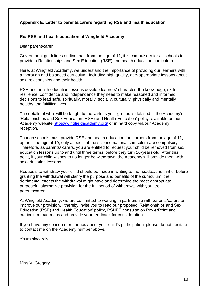### **Appendix E: Letter to parents/carers regarding RSE and health education**

### **Re: RSE and health education at Wingfield Academy**

#### Dear parent/carer

Government guidelines outline that, from the age of 11, it is compulsory for all schools to provide a Relationships and Sex Education (RSE) and health education curriculum.

Here, at Wingfield Academy, we understand the importance of providing our learners with a thorough and balanced curriculum, including high quality, age-appropriate lessons about sex, relationships and their health.

RSE and health education lessons develop learners' character, the knowledge, skills, resilience, confidence and independence they need to make reasoned and informed decisions to lead safe, spiritually, morally, socially, culturally, physically and mentally healthy and fulfilling lives.

The details of what will be taught to the various year groups is detailed in the Academy's 'Relationships and Sex Education (RSE) and Health Education' policy, available on our Academy website<https://wingfieldacademy.org/> or in hard copy via our Academy reception.

Though schools must provide RSE and health education for learners from the age of 11, up until the age of 19, only aspects of the science national curriculum are compulsory. Therefore, as parents/ carers, you are entitled to request your child be removed from sex education lessons up to and until three terms, before they turn 16-years-old. After this point, if your child wishes to no longer be withdrawn, the Academy will provide them with sex education lessons.

Requests to withdraw your child should be made in writing to the headteacher, who, before granting the withdrawal will clarify the purpose and benefits of the curriculum, the detrimental effects the withdrawal might have and determine the most appropriate, purposeful alternative provision for the full period of withdrawal with you are parents/carers.

At Wingfield Academy, we are committed to working in partnership with parents/carers to improve our provision. I thereby invite you to read our proposed 'Relationships and Sex Education (RSE) and Health Education' policy, PSHEE consultation PowerPoint and curriculum road maps and provide your feedback for consideration.

If you have any concerns or queries about your child's participation, please do not hesitate to contact me on the Academy number above.

Yours sincerely

Miss V. Gregory